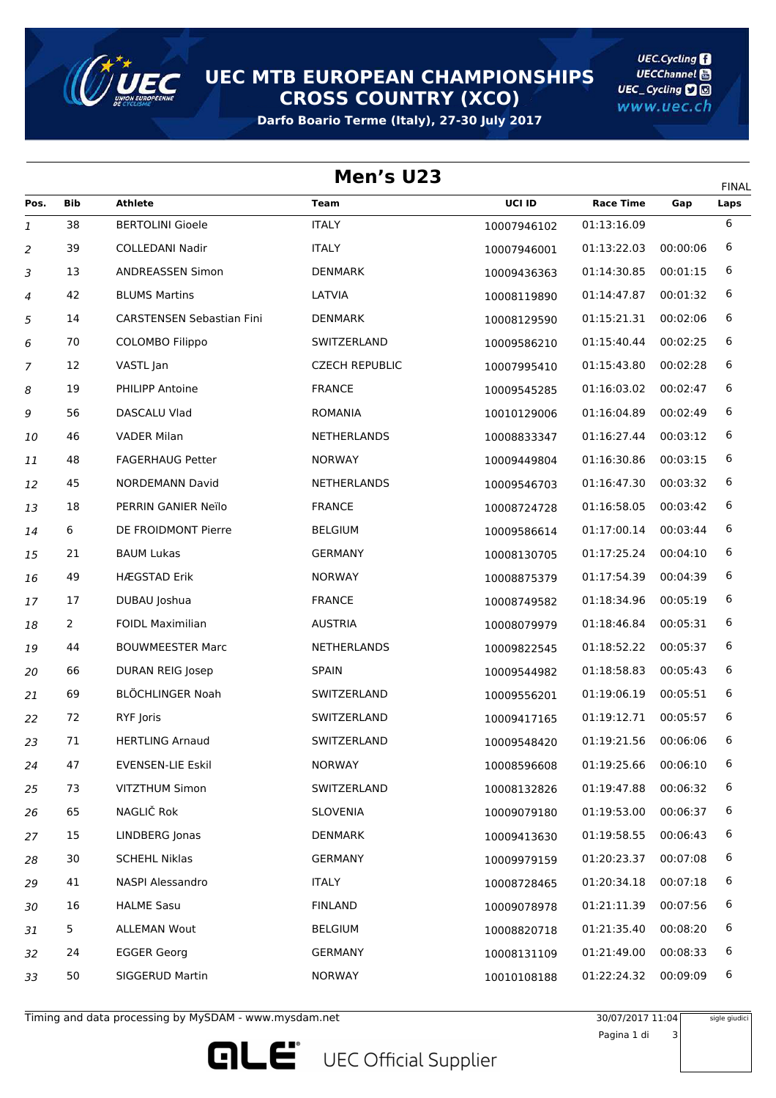

## **UEC MTB EUROPEAN CHAMPIONSHIPS CROSS COUNTRY (XCO)**

**Darfo Boario Terme (Italy), 27-30 July 2017**

**UEC.Cycling UECChannel** UEC\_Cycling **D** www.uec.ch

| Men's U23<br><b>FINAL</b> |                |                                  |                       |             |                  |          |      |  |  |  |
|---------------------------|----------------|----------------------------------|-----------------------|-------------|------------------|----------|------|--|--|--|
| Pos.                      | Bib            | <b>Athlete</b>                   | <b>Team</b>           | UCI ID      | <b>Race Time</b> | Gap      | Laps |  |  |  |
| 1                         | 38             | <b>BERTOLINI Gioele</b>          | <b>ITALY</b>          | 10007946102 | 01:13:16.09      |          | 6    |  |  |  |
| 2                         | 39             | <b>COLLEDANI Nadir</b>           | <b>ITALY</b>          | 10007946001 | 01:13:22.03      | 00:00:06 | 6    |  |  |  |
| 3                         | 13             | <b>ANDREASSEN Simon</b>          | <b>DENMARK</b>        | 10009436363 | 01:14:30.85      | 00:01:15 | 6    |  |  |  |
| 4                         | 42             | <b>BLUMS Martins</b>             | LATVIA                | 10008119890 | 01:14:47.87      | 00:01:32 | 6    |  |  |  |
| 5                         | 14             | <b>CARSTENSEN Sebastian Fini</b> | <b>DENMARK</b>        | 10008129590 | 01:15:21.31      | 00:02:06 | 6    |  |  |  |
| 6                         | 70             | COLOMBO Filippo                  | SWITZERLAND           | 10009586210 | 01:15:40.44      | 00:02:25 | 6    |  |  |  |
| 7                         | 12             | VASTL Jan                        | <b>CZECH REPUBLIC</b> | 10007995410 | 01:15:43.80      | 00:02:28 | 6    |  |  |  |
| 8                         | 19             | PHILIPP Antoine                  | <b>FRANCE</b>         | 10009545285 | 01:16:03.02      | 00:02:47 | 6    |  |  |  |
| 9                         | 56             | DASCALU Vlad                     | <b>ROMANIA</b>        | 10010129006 | 01:16:04.89      | 00:02:49 | 6    |  |  |  |
| 10                        | 46             | <b>VADER Milan</b>               | <b>NETHERLANDS</b>    | 10008833347 | 01:16:27.44      | 00:03:12 | 6    |  |  |  |
| 11                        | 48             | <b>FAGERHAUG Petter</b>          | <b>NORWAY</b>         | 10009449804 | 01:16:30.86      | 00:03:15 | 6    |  |  |  |
| 12                        | 45             | <b>NORDEMANN David</b>           | NETHERLANDS           | 10009546703 | 01:16:47.30      | 00:03:32 | 6    |  |  |  |
| 13                        | 18             | PERRIN GANIER Neïlo              | <b>FRANCE</b>         | 10008724728 | 01:16:58.05      | 00:03:42 | 6    |  |  |  |
| 14                        | 6              | DE FROIDMONT Pierre              | <b>BELGIUM</b>        | 10009586614 | 01:17:00.14      | 00:03:44 | 6    |  |  |  |
| 15                        | 21             | <b>BAUM Lukas</b>                | <b>GERMANY</b>        | 10008130705 | 01:17:25.24      | 00:04:10 | 6    |  |  |  |
| 16                        | 49             | <b>HÆGSTAD Erik</b>              | <b>NORWAY</b>         | 10008875379 | 01:17:54.39      | 00:04:39 | 6    |  |  |  |
| 17                        | 17             | DUBAU Joshua                     | <b>FRANCE</b>         | 10008749582 | 01:18:34.96      | 00:05:19 | 6    |  |  |  |
| 18                        | $\overline{2}$ | <b>FOIDL Maximilian</b>          | <b>AUSTRIA</b>        | 10008079979 | 01:18:46.84      | 00:05:31 | 6    |  |  |  |
| 19                        | 44             | <b>BOUWMEESTER Marc</b>          | <b>NETHERLANDS</b>    | 10009822545 | 01:18:52.22      | 00:05:37 | 6    |  |  |  |
| 20                        | 66             | <b>DURAN REIG Josep</b>          | <b>SPAIN</b>          | 10009544982 | 01:18:58.83      | 00:05:43 | 6    |  |  |  |
| 21                        | 69             | <b>BLÖCHLINGER Noah</b>          | SWITZERLAND           | 10009556201 | 01:19:06.19      | 00:05:51 | 6    |  |  |  |
| 22                        | 72             | RYF Joris                        | SWITZERLAND           | 10009417165 | 01:19:12.71      | 00:05:57 | 6    |  |  |  |
| 23                        | 71             | <b>HERTLING Arnaud</b>           | SWITZERLAND           | 10009548420 | 01:19:21.56      | 00:06:06 | 6    |  |  |  |
| 24                        | 47             | EVENSEN-LIE Eskil                | <b>NORWAY</b>         | 10008596608 | 01:19:25.66      | 00:06:10 | 6    |  |  |  |
| 25                        | 73             | <b>VITZTHUM Simon</b>            | SWITZERLAND           | 10008132826 | 01:19:47.88      | 00:06:32 | 6    |  |  |  |
| 26                        | 65             | NAGLIČ Rok                       | <b>SLOVENIA</b>       | 10009079180 | 01:19:53.00      | 00:06:37 | 6    |  |  |  |
| 27                        | 15             | LINDBERG Jonas                   | <b>DENMARK</b>        | 10009413630 | 01:19:58.55      | 00:06:43 | 6    |  |  |  |
| 28                        | 30             | <b>SCHEHL Niklas</b>             | <b>GERMANY</b>        | 10009979159 | 01:20:23.37      | 00:07:08 | 6    |  |  |  |
| 29                        | 41             | NASPI Alessandro                 | <b>ITALY</b>          | 10008728465 | 01:20:34.18      | 00:07:18 | 6    |  |  |  |
| 30                        | 16             | <b>HALME Sasu</b>                | <b>FINLAND</b>        | 10009078978 | 01:21:11.39      | 00:07:56 | 6    |  |  |  |
| 31                        | 5              | <b>ALLEMAN Wout</b>              | <b>BELGIUM</b>        | 10008820718 | 01:21:35.40      | 00:08:20 | 6    |  |  |  |
| 32                        | 24             | <b>EGGER Georg</b>               | <b>GERMANY</b>        | 10008131109 | 01:21:49.00      | 00:08:33 | 6    |  |  |  |
| 33                        | 50             | SIGGERUD Martin                  | <b>NORWAY</b>         | 10010108188 | 01:22:24.32      | 00:09:09 | 6    |  |  |  |

Timing and data processing by MySDAM - www.mysdam.net 30/07/2017 30/07/2017 11:04



**GLE** UEC Official Supplier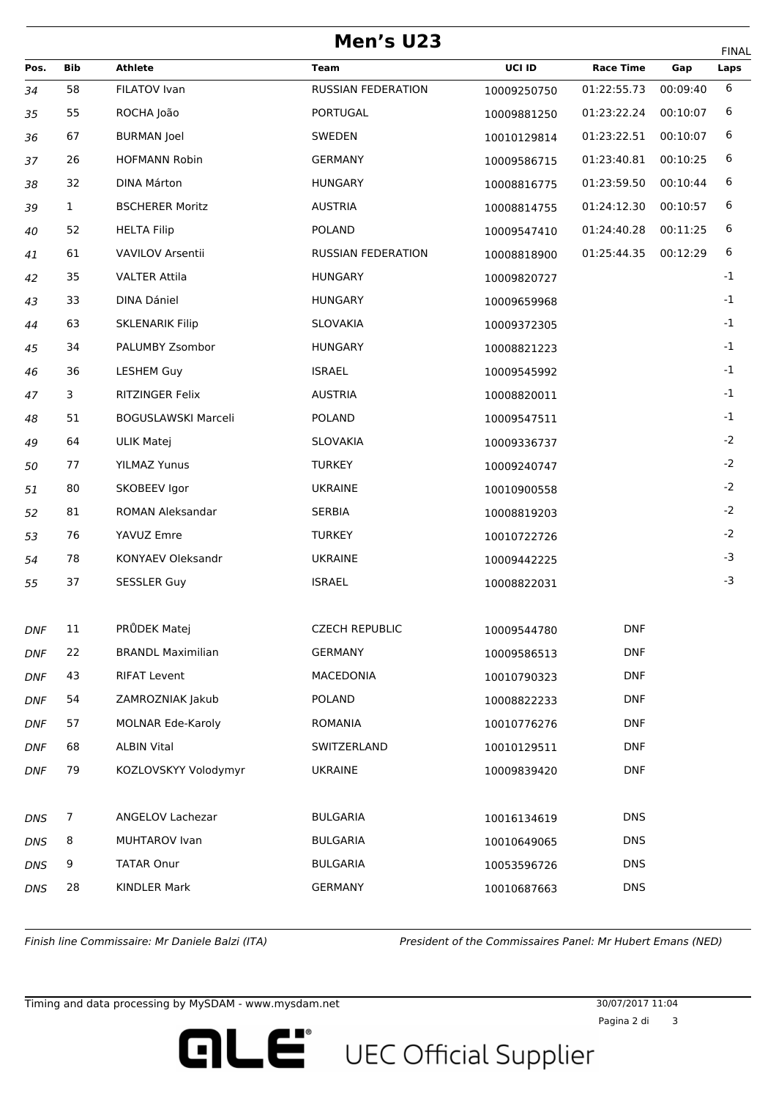## **Men's U23**

| Pos.       | Bib          | <b>Athlete</b>             | Team                  | UCI ID      | <b>Race Time</b> | Gap      | FINAI<br>Laps |
|------------|--------------|----------------------------|-----------------------|-------------|------------------|----------|---------------|
| 34         | 58           | FILATOV Ivan               | RUSSIAN FEDERATION    | 10009250750 | 01:22:55.73      | 00:09:40 | 6             |
| 35         | 55           | ROCHA João                 | PORTUGAL              | 10009881250 | 01:23:22.24      | 00:10:07 | 6             |
| 36         | 67           | <b>BURMAN Joel</b>         | SWEDEN                | 10010129814 | 01:23:22.51      | 00:10:07 | 6             |
| 37         | 26           | <b>HOFMANN Robin</b>       | <b>GERMANY</b>        | 10009586715 | 01:23:40.81      | 00:10:25 | 6             |
| 38         | 32           | <b>DINA Márton</b>         | <b>HUNGARY</b>        | 10008816775 | 01:23:59.50      | 00:10:44 | 6             |
| 39         | $\mathbf{1}$ | <b>BSCHERER Moritz</b>     | <b>AUSTRIA</b>        | 10008814755 | 01:24:12.30      | 00:10:57 | 6             |
| 40         | 52           | <b>HELTA Filip</b>         | <b>POLAND</b>         | 10009547410 | 01:24:40.28      | 00:11:25 | 6             |
| 41         | 61           | <b>VAVILOV Arsentii</b>    | RUSSIAN FEDERATION    | 10008818900 | 01:25:44.35      | 00:12:29 | 6             |
| 42         | 35           | <b>VALTER Attila</b>       | <b>HUNGARY</b>        | 10009820727 |                  |          | $-1$          |
| 43         | 33           | DINA Dániel                | <b>HUNGARY</b>        | 10009659968 |                  |          | $-1$          |
| 44         | 63           | <b>SKLENARIK Filip</b>     | <b>SLOVAKIA</b>       | 10009372305 |                  |          | $-1$          |
| 45         | 34           | PALUMBY Zsombor            | <b>HUNGARY</b>        | 10008821223 |                  |          | $-1$          |
| 46         | 36           | <b>LESHEM Guy</b>          | <b>ISRAEL</b>         | 10009545992 |                  |          | $-1$          |
| 47         | 3            | RITZINGER Felix            | <b>AUSTRIA</b>        | 10008820011 |                  |          | $-1$          |
| 48         | 51           | <b>BOGUSLAWSKI Marceli</b> | <b>POLAND</b>         | 10009547511 |                  |          | $-1$          |
| 49         | 64           | <b>ULIK Matej</b>          | SLOVAKIA              | 10009336737 |                  |          | $-2$          |
| 50         | 77           | <b>YILMAZ Yunus</b>        | <b>TURKEY</b>         | 10009240747 |                  |          | $-2$          |
| 51         | 80           | SKOBEEV Igor               | <b>UKRAINE</b>        | 10010900558 |                  |          | $-2$          |
| 52         | 81           | ROMAN Aleksandar           | <b>SERBIA</b>         | 10008819203 |                  |          | $-2$          |
| 53         | 76           | YAVUZ Emre                 | <b>TURKEY</b>         | 10010722726 |                  |          | $-2$          |
| 54         | 78           | KONYAEV Oleksandr          | <b>UKRAINE</b>        | 10009442225 |                  |          | $-3$          |
| 55         | 37           | <b>SESSLER Guy</b>         | <b>ISRAEL</b>         | 10008822031 |                  |          | -3            |
| <b>DNF</b> | 11           | PRŮDEK Matej               | <b>CZECH REPUBLIC</b> | 10009544780 | <b>DNF</b>       |          |               |
| <b>DNF</b> | 22           | <b>BRANDL Maximilian</b>   | <b>GERMANY</b>        | 10009586513 | <b>DNF</b>       |          |               |
| DNF        | 43           | <b>RIFAT Levent</b>        | MACEDONIA             | 10010790323 | <b>DNF</b>       |          |               |
| DNF        | 54           | ZAMROZNIAK Jakub           | <b>POLAND</b>         | 10008822233 | <b>DNF</b>       |          |               |
| DNF        | 57           | <b>MOLNAR Ede-Karoly</b>   | <b>ROMANIA</b>        | 10010776276 | <b>DNF</b>       |          |               |
| DNF        | 68           | <b>ALBIN Vital</b>         | SWITZERLAND           | 10010129511 | <b>DNF</b>       |          |               |
| DNF        | 79           | KOZLOVSKYY Volodymyr       | <b>UKRAINE</b>        | 10009839420 | <b>DNF</b>       |          |               |
| DNS        | 7            | ANGELOV Lachezar           | <b>BULGARIA</b>       | 10016134619 | <b>DNS</b>       |          |               |
| DNS        | 8            | MUHTAROV Ivan              | <b>BULGARIA</b>       | 10010649065 | <b>DNS</b>       |          |               |
| DNS        | 9            | <b>TATAR Onur</b>          | <b>BULGARIA</b>       | 10053596726 | <b>DNS</b>       |          |               |
| DNS        | 28           | KINDLER Mark               | <b>GERMANY</b>        | 10010687663 | <b>DNS</b>       |          |               |
|            |              |                            |                       |             |                  |          |               |

*Finish line Commissaire: Mr Daniele Balzi (ITA) President of the Commissaires Panel: Mr Hubert Emans (NED)*

Timing and data processing by MySDAM - www.mysdam.net



30/07/2017 11:04

Pagina 2 di 3